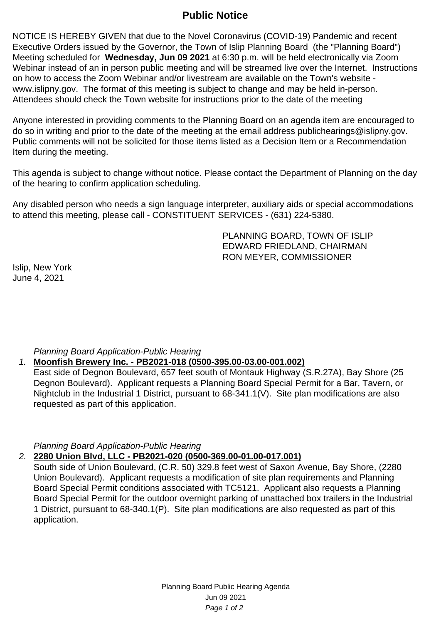# **Public Notice**

NOTICE IS HEREBY GIVEN that due to the Novel Coronavirus (COVID-19) Pandemic and recent Executive Orders issued by the Governor, the Town of Islip Planning Board (the "Planning Board") Meeting scheduled for **Wednesday, Jun 09 2021** at 6:30 p.m. will be held electronically via Zoom Webinar instead of an in person public meeting and will be streamed live over the Internet. Instructions on how to access the Zoom Webinar and/or livestream are available on the Town's website www.islipny.gov. The format of this meeting is subject to change and may be held in-person. Attendees should check the Town website for instructions prior to the date of the meeting

Anyone interested in providing comments to the Planning Board on an agenda item are encouraged to do so in writing and prior to the date of the meeting at the email address publichearings@islipny.gov. Public comments will not be solicited for those items listed as a Decision Item or a Recommendation Item during the meeting.

This agenda is subject to change without notice. Please contact the Department of Planning on the day of the hearing to confirm application scheduling.

Any disabled person who needs a sign language interpreter, auxiliary aids or special accommodations to attend this meeting, please call - CONSTITUENT SERVICES - (631) 224-5380.

> PLANNING BOARD, TOWN OF ISLIP EDWARD FRIEDLAND, CHAIRMAN RON MEYER, COMMISSIONER

Islip, New York June 4, 2021

# Planning Board Application-Public Hearing

### 1. **Moonfish Brewery Inc. - PB2021-018 (0500-395.00-03.00-001.002)**

East side of Degnon Boulevard, 657 feet south of Montauk Highway (S.R.27A), Bay Shore (25 Degnon Boulevard). Applicant requests a Planning Board Special Permit for a Bar, Tavern, or Nightclub in the Industrial 1 District, pursuant to 68-341.1(V). Site plan modifications are also requested as part of this application.

Planning Board Application-Public Hearing

### 2. **2280 Union Blvd, LLC - PB2021-020 (0500-369.00-01.00-017.001)**

South side of Union Boulevard, (C.R. 50) 329.8 feet west of Saxon Avenue, Bay Shore, (2280 Union Boulevard). Applicant requests a modification of site plan requirements and Planning Board Special Permit conditions associated with TC5121. Applicant also requests a Planning Board Special Permit for the outdoor overnight parking of unattached box trailers in the Industrial 1 District, pursuant to 68-340.1(P). Site plan modifications are also requested as part of this application.

> Planning Board Public Hearing Agenda Jun 09 2021 Page 1 of 2